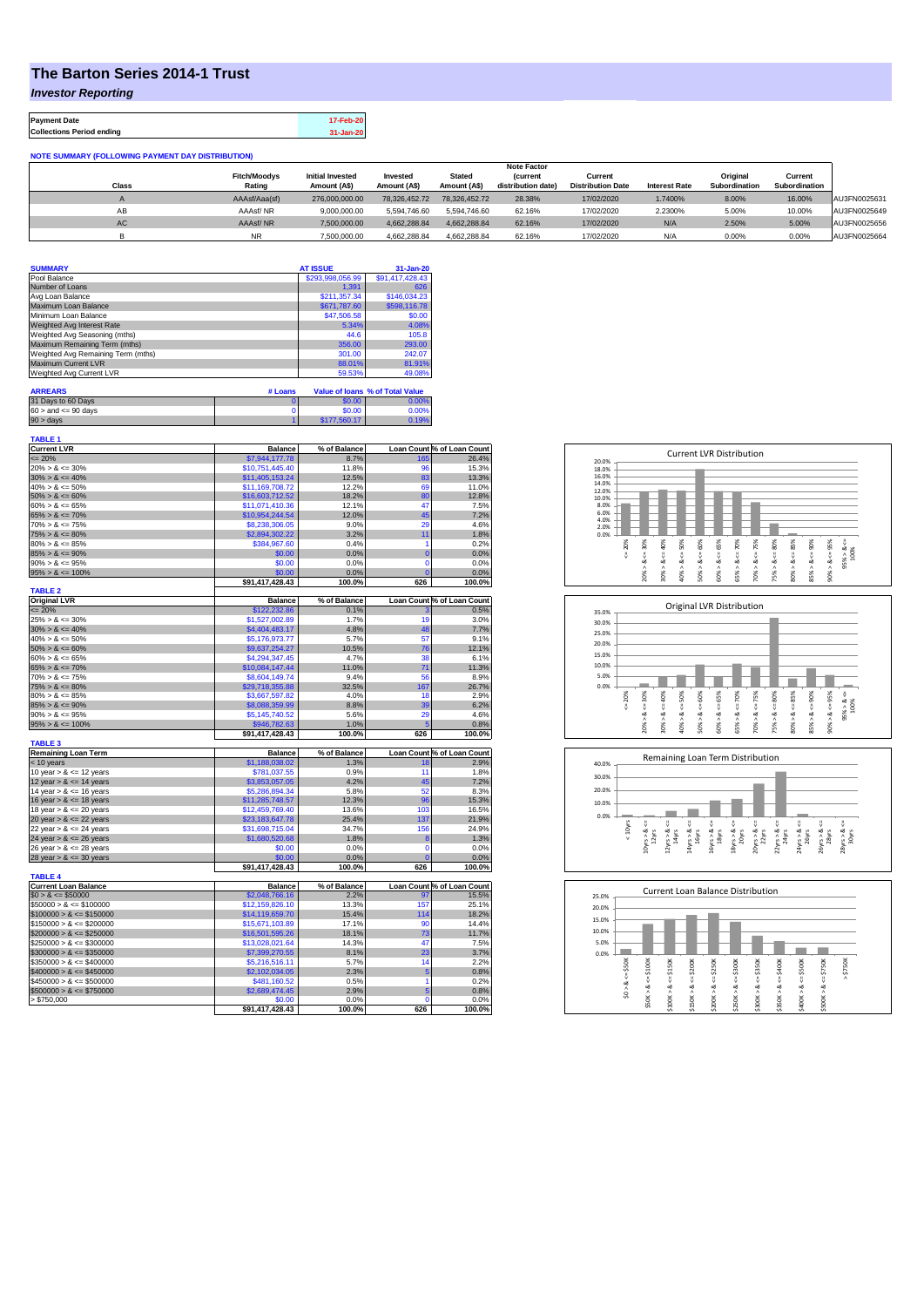## **The Barton Series 2014-1 Trust**

*Investor Reporting*

**Payment Date 17-Feb-20 Collections Period ending 31-Jan-20**

| <b>NOTE SUMMARY (FOLLOWING PAYMENT DAY DISTRIBUTION)</b> |                     |                         |               |               |                    |                          |                      |               |               |              |
|----------------------------------------------------------|---------------------|-------------------------|---------------|---------------|--------------------|--------------------------|----------------------|---------------|---------------|--------------|
|                                                          |                     |                         |               |               | <b>Note Factor</b> |                          |                      |               |               |              |
|                                                          | <b>Fitch/Moodys</b> | <b>Initial Invested</b> | Invested      | <b>Stated</b> | <b>(current</b>    | Current                  |                      | Original      | Current       |              |
| <b>Class</b>                                             | Rating              | Amount (A\$)            | Amount (A\$)  | Amount (A\$)  | distribution date) | <b>Distribution Date</b> | <b>Interest Rate</b> | Subordination | Subordination |              |
|                                                          | AAAsf/Aaa(sf)       | 276,000,000,00          | 78.326.452.72 | 78.326.452.72 | 28.38%             | 17/02/2020               | 1.7400%              | 8.00%         | 16.00%        | AU3FN0025631 |
| AB                                                       | AAAsf/NR            | 9.000.000.00            | 5.594.746.60  | 5.594.746.60  | 62.16%             | 17/02/2020               | 2.2300%              | 5.00%         | 10.00%        | AU3FN0025649 |
| AC                                                       | AAAsf/NR            | 7,500,000.00            | 4.662.288.84  | 4.662.288.84  | 62.16%             | 17/02/2020               | N/A                  | 2.50%         | 5.00%         | AU3FN0025656 |
|                                                          | <b>NR</b>           | 7.500.000.00            | 4.662.288.84  | 4,662,288.84  | 62.16%             | 17/02/2020               | N/A                  | 0.00%         | 0.00%         | AU3FN0025664 |

| <b>SUMMARY</b>                     | <b>AT ISSUE</b>  | 31-Jan-20       |
|------------------------------------|------------------|-----------------|
| Pool Balance                       | \$293,998,056.99 | \$91,417,428.43 |
| Number of Loans                    | 1.391            | 626             |
| Avg Loan Balance                   | \$211.357.34     | \$146,034.23    |
| Maximum Loan Balance               | \$671,787.60     | \$598,116.78    |
| Minimum Loan Balance               | \$47,506.58      | \$0.00          |
| Weighted Avg Interest Rate         | 5.34%            | 4.08%           |
| Weighted Avg Seasoning (mths)      | 44.6             | 105.8           |
| Maximum Remaining Term (mths)      | 356.00           | 293.00          |
| Weighted Avg Remaining Term (mths) | 301.00           | 242.07          |
| Maximum Current LVR                | 88.01%           | 81.91%          |
| Weighted Avg Current LVR           | 59.53%           | 49.08%          |

| <b>ARREARS</b>            | # Loans |              | Value of Joans % of Total Value |
|---------------------------|---------|--------------|---------------------------------|
| 31 Days to 60 Days        |         | \$0.00       | 0.00%                           |
| $60 >$ and $\leq 90$ days |         | \$0.00       | 0.00%                           |
| 90 > davs                 |         | \$177.560.17 | 0.19%                           |

| TABLE 1                     |                 |                |                 |                                     |
|-----------------------------|-----------------|----------------|-----------------|-------------------------------------|
| <b>Current LVR</b>          | <b>Balance</b>  | % of Balance   |                 | Loan Count % of Loan Count          |
| $= 20%$                     | \$7,944,177.78  | 8.7%           | 165             | 26.4%                               |
| $20\% > 8 \le 30\%$         | \$10,751,445.40 | 11.8%          | 96              | 15.3%                               |
| $30\% > 8 \le 40\%$         | \$11,405,153.24 | 12.5%          | 83              | 13.3%                               |
| $40\% > 8 \le 50\%$         | \$11,169,708.72 | 12.2%          | 69              | 11.0%                               |
| $50\% > 8 \le 60\%$         | \$16,603,712.52 | 18.2%          | 80              | 12.8%                               |
| $60\% > 8 \le 65\%$         | \$11.071.410.36 | 12.1%          | 47              | 7.5%                                |
|                             |                 |                |                 |                                     |
| $65\% > 8 \le 70\%$         | \$10,954,244.54 | 12.0%          | 45              | 7.2%                                |
| $70\% > 8 \le 75\%$         | \$8,238,306.05  | 9.0%           | 29              | 4.6%                                |
| $75\% > 8 \le 80\%$         | \$2,894,302.22  | 3.2%           | 11              | 1.8%                                |
| $80\% > 8 \le 85\%$         | \$384,967.60    | 0.4%           | 1               | 0.2%                                |
| $85\% > 8 \le 90\%$         | \$0.00          | 0.0%           | $\overline{0}$  | 0.0%                                |
| $90\% > 8 \le 95\%$         | \$0.00          | 0.0%           | $\mathbf 0$     | 0.0%                                |
| $95\% > 8 \le 100\%$        | \$0.00          | 0.0%           | $\overline{0}$  | 0.0%                                |
|                             | \$91,417,428.43 | 100.0%         | 626             | 100.0%                              |
| <b>TABLE 2</b>              |                 |                |                 |                                     |
| <b>Original LVR</b>         | <b>Balance</b>  | % of Balance   |                 | Loan Count % of Loan Count          |
| $= 20%$                     |                 |                |                 |                                     |
|                             | \$122,232.86    | 0.1%           |                 | 0.5%                                |
| $25\% > 8 \le 30\%$         | \$1,527,002.89  | 1.7%           | 19              | 3.0%                                |
| $30\% > 8 \le 40\%$         | \$4,404,483.17  | 4.8%           | 48              | 7.7%                                |
| $40\% > 8 \le 50\%$         | \$5,176,973.77  | 5.7%           | 57              | 9.1%                                |
| $50\% > 8 \le 60\%$         | \$9,637,254.27  | 10.5%          | 76              | 12.1%                               |
| $60\% > 8 \le 65\%$         | \$4,294,347.45  | 4.7%           | 38              | 6.1%                                |
| $65\% > 8 \le 70\%$         | \$10,084,147.44 | 11.0%          | $\overline{71}$ | 11.3%                               |
| $70\% > 8 \le 75\%$         | \$8,604,149.74  | 9.4%           | 56              | 8.9%                                |
| $75\% > 8 \le 80\%$         | \$29,718,355.88 | 32.5%          | 167             | 26.7%                               |
|                             |                 | 4.0%           |                 |                                     |
| $80\% > 8 \le 85\%$         | \$3,667,597.82  |                | 18              | 2.9%                                |
| $85\% > 8 \le 90\%$         | \$8,088,359.99  | 8.8%           | 39              | 6.2%                                |
|                             |                 |                | 29              | 4.6%                                |
| $90\% > 8 \le 95\%$         | \$5,145,740.52  | 5.6%           |                 |                                     |
| $95\% > 8 \le 100\%$        | \$946,782.63    | 1.0%           | 5               | 0.8%                                |
|                             | \$91,417,428.43 | 100.0%         | 626             | 100.0%                              |
|                             |                 |                |                 |                                     |
| <b>TABLE 3</b>              | <b>Balance</b>  |                |                 |                                     |
| <b>Remaining Loan Term</b>  |                 | % of Balance   |                 |                                     |
| $<$ 10 years                | \$1,188,038.02  | 1.3%           | 18              | Loan Count % of Loan Count<br>2.9%  |
| 10 year $> 8 \le 12$ years  | \$781,037.55    | 0.9%           | 11              | 1.8%                                |
| 12 year $> 8 \le 14$ years  | \$3,853,057.05  | 4.2%           | 45              | 7.2%                                |
| 14 year $> 8 \le 16$ years  | \$5,286,894.34  | 5.8%           | 52              | 8.3%                                |
| 16 year $> 8 \le 18$ years  | \$11,285,748.57 | 12.3%          | 96              | 15.3%                               |
| 18 year $> 8 \le 20$ years  | \$12,459,769.40 | 13.6%          | 103             | 16.5%                               |
| 20 year $> 8 \le 22$ years  | \$23,183,647.78 | 25.4%          | 137             | 21.9%                               |
| 22 year $> 8 \le 24$ years  | \$31,698,715.04 | 34.7%          | 156             | 24.9%                               |
|                             |                 |                |                 |                                     |
| 24 year $> 8 \le 26$ years  | \$1,680,520.68  | 1.8%           | 8               | 1.3%                                |
| 26 year $> 8 \le 28$ years  | \$0.00          | 0.0%           | $\mathbf 0$     | 0.0%                                |
| 28 year $> 8 \le 30$ years  | \$0.00          | 0.0%           | $\mathbf 0$     | 0.0%                                |
|                             | \$91,417,428.43 | 100.0%         | 626             | 100.0%                              |
| <b>TABLE 4</b>              |                 |                |                 |                                     |
| <b>Current Loan Balance</b> | <b>Balance</b>  | % of Balance   |                 |                                     |
| $$0 > 8 \le $50000$         | \$2,048,766.16  | 2.2%           | 97              | Loan Count % of Loan Count<br>15.5% |
| $$50000 > 8 \le $100000$    | \$12,159,826.10 | 13.3%          | 157             | 25.1%                               |
| $$100000 > 8 \le $150000$   | \$14,119,659.70 | 15.4%          | 114             | 18.2%                               |
|                             |                 |                | 90              | 14.4%                               |
| $$150000 > 8 \le $200000$   | \$15,671,103.89 | 17.1%<br>18.1% |                 |                                     |
| $$200000 > 8 \leq $250000$  | \$16,501,595.26 |                | 73              | 11.7%                               |
| $$250000 > 8 \le $300000$   | \$13,028,021.64 | 14.3%          | 47              | 7.5%                                |
| $$300000 > 8 \leq $350000$  | \$7,399,270.55  | 8.1%           | 23              | 3.7%                                |
| $$350000 > 8 \le $400000$   | \$5,216,516.11  | 5.7%           | 14              | 2.2%                                |
| $$400000 > 8 \leq $450000$  | \$2,102,034.05  | 2.3%           | 5               | 0.8%                                |
| $$450000 > 8 \leq $500000$  | \$481,160.52    | 0.5%           | 1               | 0.2%                                |
| $$500000 > 8 \le $750000$   | \$2,689,474.45  | 2.9%           | 5               | 0.8%                                |
| > \$750,000                 | \$0.00          | 0.0%           | $\Omega$        | 0.0%                                |